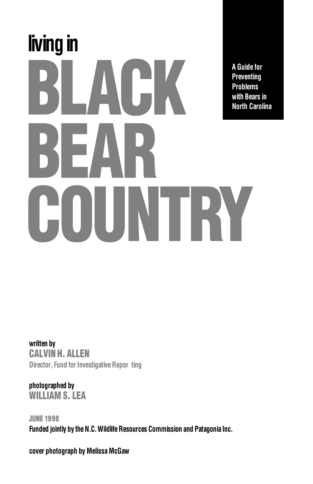# **living in**  BLAC K BEAR **COUNTRY A Guide for**

**Preventing Problems with Bears in North Carolina**

**written by** CALVIN H. ALLEN **Director, Fund for Investigative Repor ting** 

**photographed by**  WILLIAM S. LEA

JUNE 1998 **Funded jointly by the N.C. Wildlife Resources Commission and Patagonia Inc.**

**cover photograph by Melissa McGaw**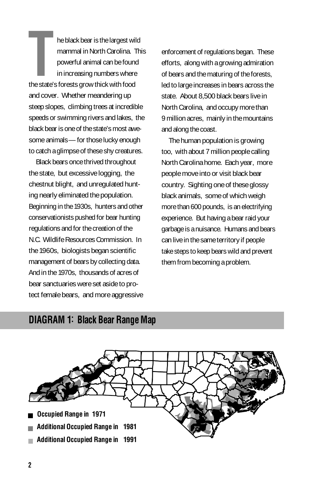The black bear is the largest will<br>
mammal in North Carolina. T<br>
powerful animal can be found<br>
in increasing numbers where<br>
the state's forests grow thick with food he black bear is the largest wild mammal in North Carolina. This powerful animal can be found in increasing numbers where and cover. Whether meandering up steep slopes, climbing trees at incredible speeds or swimming rivers and lakes, the black bear is one of the state's most awesome animals — for those lucky enough to catch a glimpse of these shy creatures.

Black bears once thrived throughout the state, but excessive logging, the chestnut blight, and unregulated hunting nearly eliminated the population. Beginning in the 1930s, hunters and other conservationists pushed for bear hunting regulations and for the creation of the N.C. Wildlife Resources Commission. In the 1960s, biologists began scientific management of bears by collecting data. And in the 1970s, thousands of acres of bear sanctuaries were set aside to protect female bears, and more aggressive enforcement of regulations began. These efforts, along with a growing admiration of bears and the maturing of the forests, led to large increases in bears across the state. About 8,500 black bears live in North Carolina, and occupy more than 9 million acres, mainly in the mountains and along the coast.

The human population is growing too, with about 7 million people calling North Carolina home. Each year, more people move into or visit black bear country. Sighting one of these glossy black animals, some of which weigh more than 600 pounds, is an electrifying experience. But having a bear raid your garbage is a nuisance. Humans and bears can live in the same territory if people take steps to keep bears wild and prevent them from becoming a problem.

### **DIAGRAM 1: Black Bear Range Map**

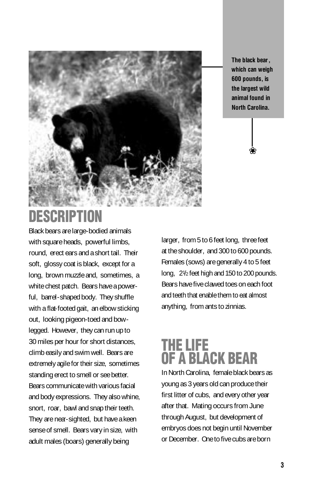

**The black bear, which can weigh 600 pounds, is the largest wild animal found in North Carolina.**

❀

# **ESCRIPTION**

Black bears are large-bodied animals with square heads, powerful limbs, round, erect ears and a short tail. Their soft, glossy coat is black, except for a long, brown muzzle and, sometimes, a white chest patch. Bears have a powerful, barrel-shaped body. They shuffle with a flat-footed gait, an elbow sticking out, looking pigeon-toed and bowlegged. However, they can run up to 30 miles per hour for short distances, climb easily and swim well. Bears are extremely agile for their size, sometimes standing erect to smell or see better. Bears communicate with various facial and body expressions. They also whine, snort, roar, bawl and snap their teeth. They are near-sighted, but have a keen sense of smell. Bears vary in size, with adult males (boars) generally being

larger, from 5 to 6 feet long, three feet at the shoulder, and 300 to 600 pounds. Females (sows) are generally 4 to 5 feet long,  $2\frac{1}{2}$  feet high and 150 to 200 pounds. Bears have five clawed toes on each foot and teeth that enable them to eat almost anything, from ants to zinnias.

# THE LIFE OF A BLACK BEAR

In North Carolina, female black bears as young as 3 years old can produce their first litter of cubs, and every other year after that. Mating occurs from June through August, but development of embryos does not begin until November or December. One to five cubs are born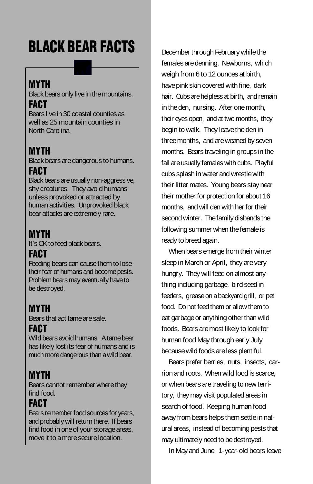# **BLACK BEAR FACTS**

# MYTH

Black bears only live in the mountains. **FACT** 

Bears live in 30 coastal counties as well as 25 mountain counties in North Carolina.

# MYTH

Black bears are dangerous to humans.

### FACT

Black bears are usually non-aggressive, shy creatures. They avoid humans unless provoked or attracted by human activities. Unprovoked black bear attacks are extremely rare.

# MYTH

It's OK to feed black bears.

### FACT

Feeding bears can cause them to lose their fear of humans and become pests. Problem bears may eventually have to be destroyed.

# MYTH

Bears that act tame are safe.

### FACT

Wild bears avoid humans. A tame bear has likely lost its fear of humans and is much more dangerous than a wild bear.

# **MYTH**

Bears cannot remember where they find food.

### **FACT**

Bears remember food sources for years, and probably will return there. If bears find food in one of your storage areas, move it to a more secure location.

December through February while the females are denning. Newborns, which weigh from 6 to 12 ounces at birth, have pink skin covered with fine, dark hair. Cubs are helpless at birth, and remain in the den, nursing. After one month, their eyes open, and at two months, they begin to walk. They leave the den in three months, and are weaned by seven months. Bears traveling in groups in the fall are usually females with cubs. Playful cubs splash in water and wrestle with their litter mates. Young bears stay near their mother for protection for about 16 months, and will den with her for their second winter. The family disbands the following summer when the female is ready to breed again.

When bears emerge from their winter sleep in March or April, they are very hungry. They will feed on almost anything including garbage, bird seed in feeders, grease on a backyard grill, or pet food. Do not feed them or allow them to eat garbage or anything other than wild foods. Bears are most likely to look for human food May through early July because wild foods are less plentiful.

Bears prefer berries, nuts, insects, carrion and roots. When wild food is scarce, or when bears are traveling to new territory, they may visit populated areas in search of food. Keeping human food away from bears helps them settle in natural areas, instead of becoming pests that may ultimately need to be destroyed.

In May and June, 1-year-old bears leave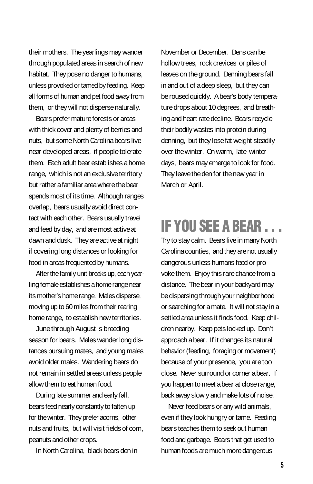their mothers. The yearlings may wander through populated areas in search of new habitat. They pose no danger to humans, unless provoked or tamed by feeding. Keep all forms of human and pet food away from them, or they will not disperse naturally.

Bears prefer mature forests or areas with thick cover and plenty of berries and nuts, but some North Carolina bears live near developed areas, if people tolerate them. Each adult bear establishes a home range, which is not an exclusive territory but rather a familiar area where the bear spends most of its time. Although ranges overlap, bears usually avoid direct contact with each other. Bears usually travel and feed by day, and are most active at dawn and dusk. They are active at night if covering long distances or looking for food in areas frequented by humans.

After the family unit breaks up, each yearling female establishes a home range near its mother's home range. Males disperse, moving up to 60 miles from their rearing home range, to establish new territories.

June through August is breeding season for bears. Males wander long distances pursuing mates, and young males avoid older males. Wandering bears do not remain in settled areas unless people allow them to eat human food.

During late summer and early fall, bears feed nearly constantly to fatten up for the winter. They prefer acorns, other nuts and fruits, but will visit fields of corn, peanuts and other crops.

In North Carolina, black bears den in

November or December. Dens can be hollow trees, rock crevices or piles of leaves on the ground. Denning bears fall in and out of a deep sleep, but they can be roused quickly. A bear's body temperature drops about 10 degrees, and breathing and heart rate decline. Bears recycle their bodily wastes into protein during denning, but they lose fat weight steadily over the winter. On warm, late-winter days, bears may emerge to look for food. They leave the den for the new year in March or April.

# IF YOU SEE A BEAR .

Try to stay calm. Bears live in many North Carolina counties, and they are not usually dangerous unless humans feed or provoke them. Enjoy this rare chance from a distance. The bear in your backyard may be dispersing through your neighborhood or searching for a mate. It will not stay in a settled area unless it finds food. Keep children nearby. Keep pets locked up. Don't approach a bear. If it changes its natural behavior (feeding, foraging or movement) because of your presence, you are too close. Never surround or corner a bear. If you happen to meet a bear at close range, back away slowly and make lots of noise.

Never feed bears or any wild animals, even if they look hungry or tame. Feeding bears teaches them to seek out human food and garbage. Bears that get used to human foods are much more dangerous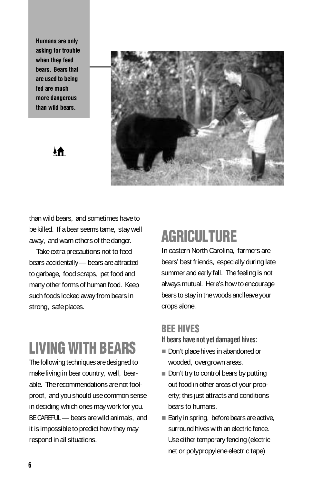**Humans are only asking for trouble when they feed bears. Bears that are used to being fed are much more dangerous than wild bears.**

止



than wild bears, and sometimes have to be killed. If a bear seems tame, stay well away, and warn others of the danger.

Take extra precautions not to feed bears accidentally — bears are attracted to garbage, food scraps, pet food and many other forms of human food. Keep such foods locked away from bears in strong, safe places.

# LIVING WITH BEARS

The following techniques are designed to make living in bear country, well, bearable. The recommendations are not foolproof, and you should use common sense in deciding which ones may work for you. BE CAREFUL — bears are wild animals, and it is impossible to predict how they may respond in all situations.

# **AGRICULTURE**

In eastern North Carolina, farmers are bears' best friends, especially during late summer and early fall. The feeling is not always mutual. Here's how to encourage bears to stay in the woods and leave your crops alone.

### BEE HIVES

#### **If bears have not yet damaged hives:**

- Don't place hives in abandoned or wooded, overgrown areas.
- Don't try to control bears by putting out food in other areas of your property; this just attracts and conditions bears to humans.
- Early in spring, before bears are active, surround hives with an electric fence. Use either temporary fencing (electric net or polypropylene electric tape)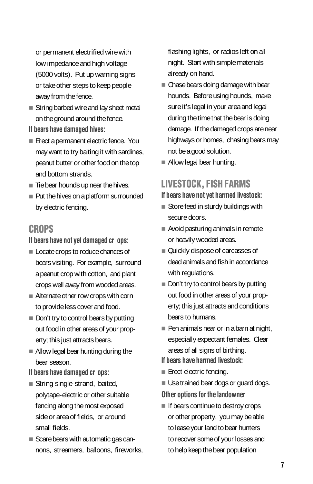or permanent electrified wire with low impedance and high voltage (5000 volts). Put up warning signs or take other steps to keep people away from the fence.

- String barbed wire and lay sheet metal on the ground around the fence.
- **If bears have damaged hives:**
- Erect a permanent electric fence. You may want to try baiting it with sardines, peanut butter or other food on the top and bottom strands.
- Tie bear hounds up near the hives.
- Put the hives on a platform surrounded by electric fencing.

### **CROPS**

#### **If bears have not yet damaged cr ops:**

- Locate crops to reduce chances of bears visiting. For example, surround a peanut crop with cotton, and plant crops well away from wooded areas.
- Alternate other row crops with corn to provide less cover and food.
- Don't try to control bears by putting out food in other areas of your property; this just attracts bears.
- Allow legal bear hunting during the bear season.
- **If bears have damaged cr ops:**
- String single-strand, baited, polytape-electric or other suitable fencing along the most exposed side or area of fields, or around small fields.
- Scare bears with automatic gas cannons, streamers, balloons, fireworks,

flashing lights, or radios left on all night. Start with simple materials already on hand.

- Chase bears doing damage with bear hounds. Before using hounds, make sure it's legal in your area and legal during the time that the bear is doing damage. If the damaged crops are near highways or homes, chasing bears may not be a good solution.
- Allow legal bear hunting.

## LIVESTOCK, FISH FARMS

#### **If bears have not yet harmed livestock:**

- Store feed in sturdy buildings with secure doors.
- Avoid pasturing animals in remote or heavily wooded areas.
- Quickly dispose of carcasses of dead animals and fish in accordance with regulations.
- Don't try to control bears by putting out food in other areas of your property; this just attracts and conditions bears to humans.
- Pen animals near or in a barn at night, especially expectant females. Clear areas of all signs of birthing.
- **If bears have harmed livestock:**
- Erect electric fencing.
- Use trained bear dogs or guard dogs.
- **Other options for the landowner**
- If bears continue to destroy crops or other property, you may be able to lease your land to bear hunters to recover some of your losses and to help keep the bear population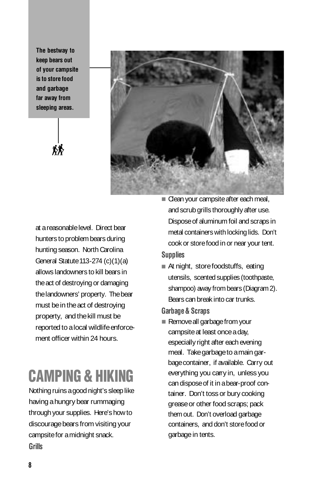**The bestway to keep bears out of your campsite is to store food and garbage far away from sleeping areas.**



at a reasonable level. Direct bear hunters to problem bears during hunting season. North Carolina General Statute 113-274 (c)(1)(a) allows landowners to kill bears in the act of destroying or damaging the landowners' property. The bear must be in the act of destroying property, and the kill must be reported to a local wildlife enforcement officer within 24 hours.

# CAMPING & HIKING

Nothing ruins a good night's sleep like having a hungry bear rummaging through your supplies. Here's how to discourage bears from visiting your campsite for a midnight snack. **Grills** 

■ Clean your campsite after each meal, and scrub grills thoroughly after use. Dispose of aluminum foil and scraps in metal containers with locking lids. Don't cook or store food in or near your tent.

#### **Supplies**

■ At night, store foodstuffs, eating utensils, scented supplies (toothpaste, shampoo) away from bears (Diagram 2). Bears can break into car trunks.

#### **Garbage & Scraps**

■ Remove all garbage from your campsite at least once a day, especially right after each evening meal. Take garbage to a main garbage container, if available. Carry out everything you carry in, unless you can dispose of it in a bear-proof container. Don't toss or bury cooking grease or other food scraps; pack them out. Don't overload garbage containers, and don't store food or garbage in tents.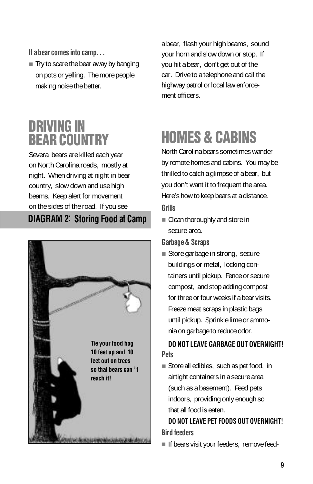#### **If a bear comes into camp. . .**

■ Try to scare the bear away by banging on pots or yelling. The more people making noise the better.

# DRIVING IN BEAR COUNTRY

Several bears are killed each year on North Carolina roads, mostly at night. When driving at night in bear country, slow down and use high beams. Keep alert for movement on the sides of the road. If you see

### **DIAGRAM 2: Storing Food at Camp**



a bear, flash your high beams, sound your horn and slow down or stop. If you hit a bear, don't get out of the car. Drive to a telephone and call the highway patrol or local law enforcement officers.

# HOMES & CABINS

North Carolina bears sometimes wander by remote homes and cabins. You may be thrilled to catch a glimpse of a bear, but you don't want it to frequent the area. Here's how to keep bears at a distance.

#### **G r i l l s**

■ Clean thoroughly and store in secure area.

#### **Garbage & Scraps**

■ Store garbage in strong, secure buildings or metal, locking containers until pickup. Fence or secure compost, and stop adding compost for three or four weeks if a bear visits. Freeze meat scraps in plastic bags until pickup. Sprinkle lime or ammonia on garbage to reduce odor.

#### **DO NOT LEAVE GARBAGE OUT OVERNIGHT!** Pets

■ Store all edibles, such as pet food, in airtight containers in a secure area (such as a basement). Feed pets indoors, providing only enough so that all food is eaten.

### **DO NOT LEAVE PET FOODS OUT OVERNIGHT! Bird feeders**

■ If bears visit your feeders, remove feed-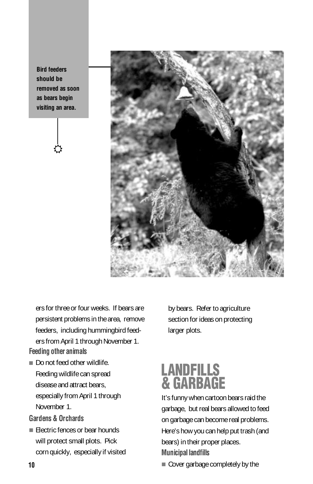**Bird feeders should be removed as soon as bears begin visiting an area.**

 $\hat{\mathbf{C}}$ 



ers for three or four weeks. If bears are persistent problems in the area, remove feeders, including hummingbird feeders from April 1 through November 1. **Feeding other animals**

■ Do not feed other wildlife. Feeding wildlife can spread disease and attract bears, especially from April 1 through November 1.

#### **Gardens & Orchards**

■ Electric fences or bear hounds will protect small plots. Pick corn quickly, especially if visited by bears. Refer to agriculture section for ideas on protecting larger plots.

# LANDFILLS & GARBAGE

It's funny when cartoon bears raid the garbage, but real bears allowed to feed on garbage can become real problems. Here's how you can help put trash (and bears) in their proper places. **Municipal landfills**

■ Cover garbage completely by the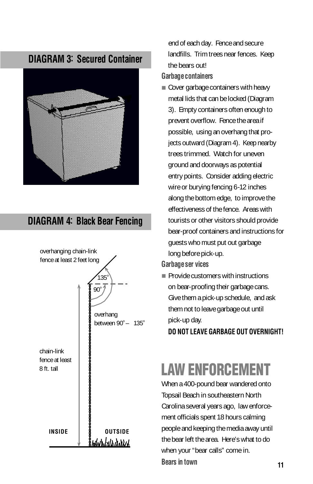## **DIAGRAM 3: Secured Container**



### **DIAGRAM 4: Black Bear Fencing**



end of each day. Fence and secure landfills. Trim trees near fences. Keep the bears out!

#### **Garbage containers**

■ Cover garbage containers with heavy metal lids that can be locked (Diagram 3). Empty containers often enough to prevent overflow. Fence the area if possible, using an overhang that projects outward (Diagram 4). Keep nearby trees trimmed. Watch for uneven ground and doorways as potential entry points. Consider adding electric wire or burying fencing 6-12 inches along the bottom edge, to improve the effectiveness of the fence. Areas with tourists or other visitors should provide bear-proof containers and instructions for guests who must put out garbage long before pick-up.

#### Garbage ser vices

■ Provide customers with instructions on bear-proofing their garbage cans. Give them a pick-up schedule, and ask them not to leave garbage out until pick-up day.

**DO NOT LEAVE GARBAGE OUT OVERNIGHT!**

# LAW ENFORCEMENT

When a 400-pound bear wandered onto Topsail Beach in southeastern North Carolina several years ago, law enforcement officials spent 18 hours calming people and keeping the media away until the bear left the area. Here's what to do when your "bear calls" come in. **Bears in town**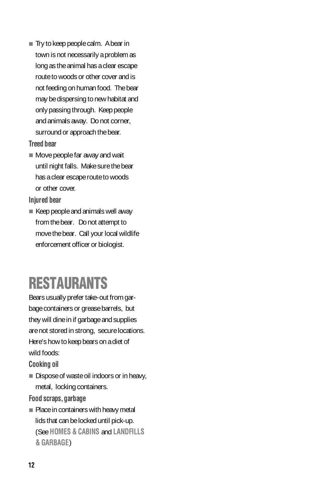■ Try to keep people calm. A bear in town is not necessarily a problem as long as the animal has a clear escape route to woods or other cover and is not feeding on human food. The bear may be dispersing to new habitat and only passing through. Keep people and animals away. Do not corner, surround or approach the bear.

#### **Treed bear**

■ Move people far away and wait until night falls. Make sure the bear has a clear escape route to woods or other cover.

#### **Injured bear**

■ Keep people and animals well away from the bear. Do not attempt to move the bear. Call your local wildlife enforcement officer or biologist.

# **RESTAURANTS**

Bears usually prefer take-out from garbage containers or grease barrels, but they will dine in if garbage and supplies are not stored in strong, secure locations. Here's how to keep bears on a diet of wild foods:

#### **Cooking oil**

■ Dispose of waste oil indoors or in heavy, metal, locking containers.

#### **Food scraps, garbage**

■ Place in containers with heavy metal lids that can be locked until pick-up. (See **HOMES & CABINS** and **LANDFILLS & GARBAGE**)